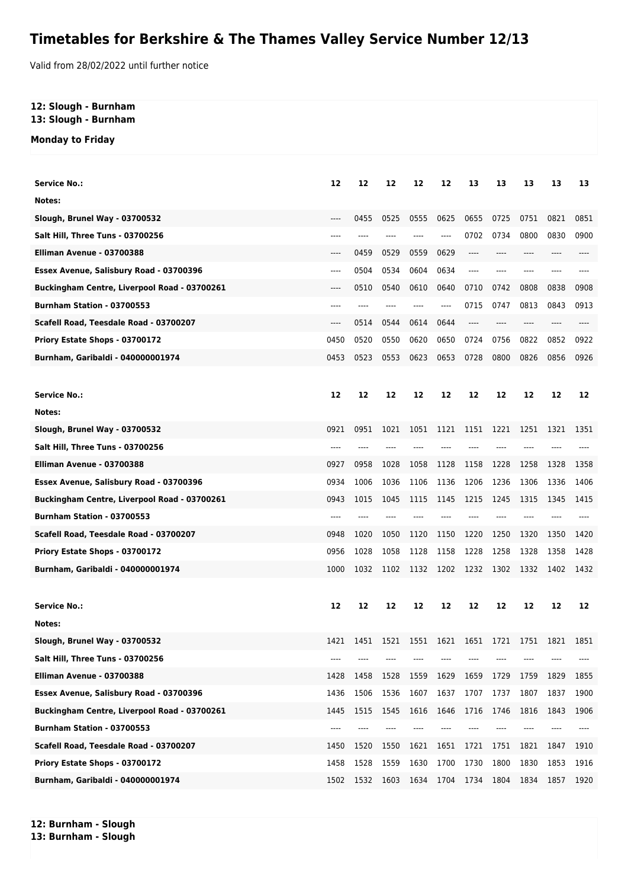## **Timetables for Berkshire & The Thames Valley Service Number 12/13**

Valid from 28/02/2022 until further notice

## **12: Slough - Burnham 13: Slough - Burnham**

**Monday to Friday**

| <b>Service No.:</b>                          | 12   | 12   | 12   | 12                       | 12      | 13    | 13   | 13   | 13   | 13   |
|----------------------------------------------|------|------|------|--------------------------|---------|-------|------|------|------|------|
| Notes:                                       |      |      |      |                          |         |       |      |      |      |      |
| Slough, Brunel Way - 03700532                | ---- | 0455 | 0525 | 0555                     | 0625    | 0655  | 0725 | 0751 | 0821 | 0851 |
| Salt Hill, Three Tuns - 03700256             | ---- |      |      |                          | ----    | 0702  | 0734 | 0800 | 0830 | 0900 |
| Elliman Avenue - 03700388                    | ---- | 0459 | 0529 | 0559                     | 0629    | $---$ | ---- | ---- | ---- |      |
| Essex Avenue, Salisbury Road - 03700396      | ---- | 0504 | 0534 | 0604                     | 0634    | $---$ | ---- | ---- |      |      |
| Buckingham Centre, Liverpool Road - 03700261 | ---- | 0510 | 0540 | 0610                     | 0640    | 0710  | 0742 | 0808 | 0838 | 0908 |
| <b>Burnham Station - 03700553</b>            | ---- | ---- |      | ----                     | $-----$ | 0715  | 0747 | 0813 | 0843 | 0913 |
| Scafell Road, Teesdale Road - 03700207       | ---- | 0514 | 0544 | 0614                     | 0644    | $---$ | ---- | ---- | ---- | ---- |
| Priory Estate Shops - 03700172               | 0450 | 0520 | 0550 | 0620                     | 0650    | 0724  | 0756 | 0822 | 0852 | 0922 |
| Burnham, Garibaldi - 040000001974            | 0453 | 0523 | 0553 | 0623                     | 0653    | 0728  | 0800 | 0826 | 0856 | 0926 |
|                                              |      |      |      |                          |         |       |      |      |      |      |
| <b>Service No.:</b>                          | 12   | 12   | 12   | 12                       | 12      | 12    | 12   | 12   | 12   | 12   |
| Notes:                                       |      |      |      |                          |         |       |      |      |      |      |
| Slough, Brunel Way - 03700532                | 0921 | 0951 | 1021 | 1051                     | 1121    | 1151  | 1221 | 1251 | 1321 | 1351 |
| Salt Hill, Three Tuns - 03700256             | ---- |      |      |                          |         |       |      |      |      |      |
| Elliman Avenue - 03700388                    | 0927 | 0958 | 1028 | 1058                     | 1128    | 1158  | 1228 | 1258 | 1328 | 1358 |
| Essex Avenue, Salisbury Road - 03700396      | 0934 | 1006 | 1036 | 1106                     | 1136    | 1206  | 1236 | 1306 | 1336 | 1406 |
| Buckingham Centre, Liverpool Road - 03700261 | 0943 | 1015 | 1045 | 1115                     | 1145    | 1215  | 1245 | 1315 | 1345 | 1415 |
| Burnham Station - 03700553                   | ---- |      |      |                          |         |       |      |      |      |      |
| Scafell Road, Teesdale Road - 03700207       | 0948 | 1020 | 1050 | 1120                     | 1150    | 1220  | 1250 | 1320 | 1350 | 1420 |
| Priory Estate Shops - 03700172               | 0956 | 1028 | 1058 | 1128                     | 1158    | 1228  | 1258 | 1328 | 1358 | 1428 |
| Burnham, Garibaldi - 040000001974            | 1000 | 1032 | 1102 | 1132                     | 1202    | 1232  | 1302 | 1332 | 1402 | 1432 |
|                                              |      |      |      |                          |         |       |      |      |      |      |
| <b>Service No.:</b>                          | 12   | 12   | 12   | 12                       | 12      | 12    | 12   | 12   | 12   | 12   |
| Notes:                                       |      |      |      |                          |         |       |      |      |      |      |
| Slough, Brunel Way - 03700532                | 1421 | 1451 |      | 1521 1551 1621 1651 1721 |         |       |      | 1751 | 1821 | 1851 |
| Salt Hill, Three Tuns - 03700256             |      |      |      |                          |         |       |      |      |      |      |
| Elliman Avenue - 03700388                    | 1428 | 1458 | 1528 | 1559                     | 1629    | 1659  | 1729 | 1759 | 1829 | 1855 |
| Essex Avenue, Salisbury Road - 03700396      | 1436 | 1506 | 1536 | 1607                     | 1637    | 1707  | 1737 | 1807 | 1837 | 1900 |
| Buckingham Centre, Liverpool Road - 03700261 | 1445 | 1515 | 1545 | 1616                     | 1646    | 1716  | 1746 | 1816 | 1843 | 1906 |
| Burnham Station - 03700553                   |      |      |      |                          |         |       |      |      |      |      |
| Scafell Road, Teesdale Road - 03700207       | 1450 | 1520 | 1550 | 1621                     | 1651    | 1721  | 1751 | 1821 | 1847 | 1910 |
| Priory Estate Shops - 03700172               | 1458 | 1528 | 1559 | 1630                     | 1700    | 1730  | 1800 | 1830 | 1853 | 1916 |
| Burnham, Garibaldi - 040000001974            | 1502 | 1532 | 1603 | 1634                     | 1704    | 1734  | 1804 | 1834 | 1857 | 1920 |